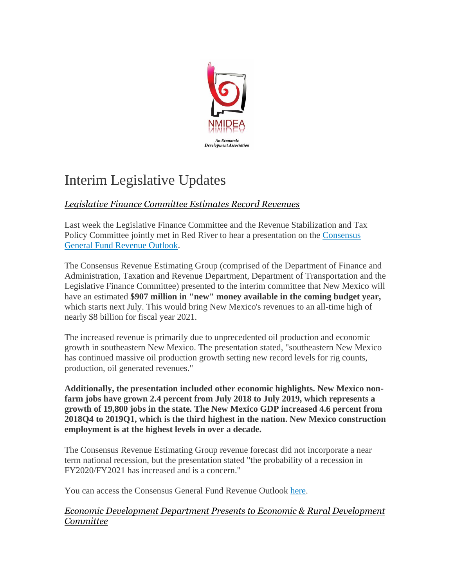

# Interim Legislative Updates

# *Legislative Finance Committee Estimates Record Revenues*

Last week the Legislative Finance Committee and the Revenue Stabilization and Tax Policy Committee jointly met in Red River to hear a presentation on the [Consensus](http://r20.rs6.net/tn.jsp?f=001rSS3fEGN9udjJiCBhD4E3SiPyqX5p0agQpfX3sN-yfNGVvYbz508fBi1zmtlhX_oEP6UpSq7-nKA4Dn7ABUHE5D1jpmoWidislCQeKOWCEevr4H2pXQ_DVba2SSLGtl6j43U3mU9CoAiKcLkO4vX9T1IDorqRtcBFLKIncmCubeKNNfhrzpRayGXH9K8Wi5blVC-oYEzaxLSU1tWfLQroouumG8AgHvmDbTtbu5DEbU2Bjns_mqvBJKyBJq6aL-mhNSh_J9Il6YVxC9V0Te9R5_N9jg_oph_&c=FvYPFOluVBRrwwELdnLWr_UWFh9p9FeMp3YCI9G2nxqOA14JH9COjA==&ch=tXsxxOQfFCUA1wkHd_qMOdWrwLq7_TapKPgbbGue57OmgFLUgBbqMw==)  [General Fund Revenue Outlook.](http://r20.rs6.net/tn.jsp?f=001rSS3fEGN9udjJiCBhD4E3SiPyqX5p0agQpfX3sN-yfNGVvYbz508fBi1zmtlhX_oEP6UpSq7-nKA4Dn7ABUHE5D1jpmoWidislCQeKOWCEevr4H2pXQ_DVba2SSLGtl6j43U3mU9CoAiKcLkO4vX9T1IDorqRtcBFLKIncmCubeKNNfhrzpRayGXH9K8Wi5blVC-oYEzaxLSU1tWfLQroouumG8AgHvmDbTtbu5DEbU2Bjns_mqvBJKyBJq6aL-mhNSh_J9Il6YVxC9V0Te9R5_N9jg_oph_&c=FvYPFOluVBRrwwELdnLWr_UWFh9p9FeMp3YCI9G2nxqOA14JH9COjA==&ch=tXsxxOQfFCUA1wkHd_qMOdWrwLq7_TapKPgbbGue57OmgFLUgBbqMw==)

The Consensus Revenue Estimating Group (comprised of the Department of Finance and Administration, Taxation and Revenue Department, Department of Transportation and the Legislative Finance Committee) presented to the interim committee that New Mexico will have an estimated **\$907 million in "new" money available in the coming budget year,** which starts next July. This would bring New Mexico's revenues to an all-time high of nearly \$8 billion for fiscal year 2021.

The increased revenue is primarily due to unprecedented oil production and economic growth in southeastern New Mexico. The presentation stated, "southeastern New Mexico has continued massive oil production growth setting new record levels for rig counts, production, oil generated revenues."

**Additionally, the presentation included other economic highlights. New Mexico nonfarm jobs have grown 2.4 percent from July 2018 to July 2019, which represents a growth of 19,800 jobs in the state. The New Mexico GDP increased 4.6 percent from 2018Q4 to 2019Q1, which is the third highest in the nation. New Mexico construction employment is at the highest levels in over a decade.** 

The Consensus Revenue Estimating Group revenue forecast did not incorporate a near term national recession, but the presentation stated "the probability of a recession in FY2020/FY2021 has increased and is a concern."

You can access the Consensus General Fund Revenue Outlook [here.](http://r20.rs6.net/tn.jsp?f=001rSS3fEGN9udjJiCBhD4E3SiPyqX5p0agQpfX3sN-yfNGVvYbz508fBi1zmtlhX_oEP6UpSq7-nKA4Dn7ABUHE5D1jpmoWidislCQeKOWCEevr4H2pXQ_DVba2SSLGtl6j43U3mU9CoAiKcLkO4vX9T1IDorqRtcBFLKIncmCubeKNNfhrzpRayGXH9K8Wi5blVC-oYEzaxLSU1tWfLQroouumG8AgHvmDbTtbu5DEbU2Bjns_mqvBJKyBJq6aL-mhNSh_J9Il6YVxC9V0Te9R5_N9jg_oph_&c=FvYPFOluVBRrwwELdnLWr_UWFh9p9FeMp3YCI9G2nxqOA14JH9COjA==&ch=tXsxxOQfFCUA1wkHd_qMOdWrwLq7_TapKPgbbGue57OmgFLUgBbqMw==)

## *Economic Development Department Presents to Economic & Rural Development Committee*